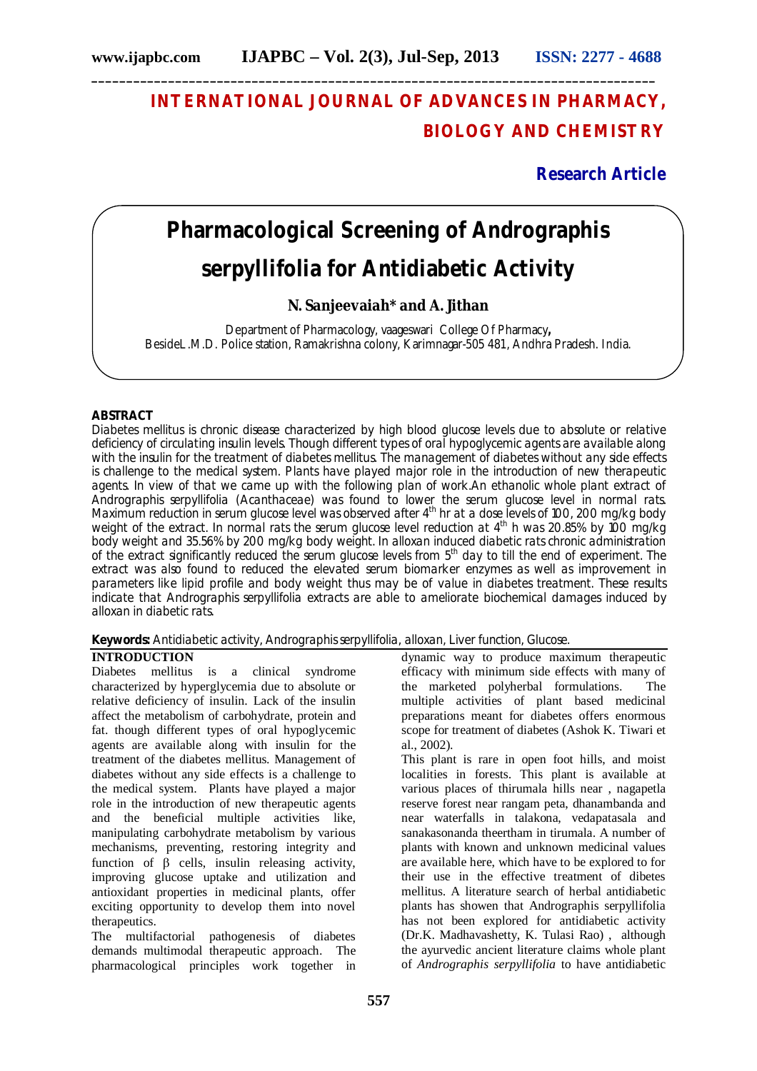**\_\_\_\_\_\_\_\_\_\_\_\_\_\_\_\_\_\_\_\_\_\_\_\_\_\_\_\_\_\_\_\_\_\_\_\_\_\_\_\_\_\_\_\_\_\_\_\_\_\_\_\_\_\_\_\_\_\_\_\_\_\_\_\_\_\_\_\_\_\_\_\_\_\_\_\_\_\_\_\_\_**

# **INTERNATIONAL JOURNAL OF ADVANCES IN PHARMACY, BIOLOGY AND CHEMISTRY**

**Research Article**

# **Pharmacological Screening of** *Andrographis serpyllifolia* **for Antidiabetic Activity**

# **N. Sanjeevaiah\* and A. Jithan**

Department of Pharmacology, vaageswari College Of Pharmacy**,** BesideL.M.D. Police station, Ramakrishna colony, Karimnagar-505 481, Andhra Pradesh. India.

# **ABSTRACT**

Diabetes mellitus is chronic disease characterized by high blood glucose levels due to absolute or relative deficiency of circulating insulin levels. Though different types of oral hypoglycemic agents are available along with the insulin for the treatment of diabetes mellitus. The management of diabetes without any side effects is challenge to the medical system. Plants have played major role in the introduction of new therapeutic agents. In view of that we came up with the following plan of work.An ethanolic whole plant extract of A*ndrographis serpyllifolia* (Acanthaceae) was found to lower the serum glucose level in normal rats. Maximum reduction in serum glucose level was observed after  $4^{\text{th}}$  hr at a dose levels of 100, 200 mg/kg body weight of the extract. In normal rats the serum glucose level reduction at 4<sup>th</sup> h was 20.85% by 100 mg/kg body weight and 35.56% by 200 mg/kg body weight. In alloxan induced diabetic rats chronic administration of the extract significantly reduced the serum glucose levels from 5th day to till the end of experiment. The extract was also found to reduced the elevated serum biomarker enzymes as well as improvement in parameters like lipid profile and body weight thus may be of value in diabetes treatment. These results indicate that *Andrographis serpyllifolia* extracts are able to ameliorate biochemical damages induced by alloxan in diabetic rats.

**Keywords:** Antidiabetic activity, *Andrographis serpyllifolia, alloxan,* Liver function, Glucose.

#### **INTRODUCTION**

Diabetes mellitus is a clinical syndrome characterized by hyperglycemia due to absolute or relative deficiency of insulin. Lack of the insulin affect the metabolism of carbohydrate, protein and fat. though different types of oral hypoglycemic agents are available along with insulin for the treatment of the diabetes mellitus. Management of diabetes without any side effects is a challenge to the medical system. Plants have played a major role in the introduction of new therapeutic agents and the beneficial multiple activities like, manipulating carbohydrate metabolism by various mechanisms, preventing, restoring integrity and function of  $\beta$  cells, insulin releasing activity, improving glucose uptake and utilization and antioxidant properties in medicinal plants, offer exciting opportunity to develop them into novel therapeutics.

The multifactorial pathogenesis of diabetes demands multimodal therapeutic approach. The pharmacological principles work together in dynamic way to produce maximum therapeutic efficacy with minimum side effects with many of the marketed polyherbal formulations. The multiple activities of plant based medicinal preparations meant for diabetes offers enormous scope for treatment of diabetes (Ashok K. Tiwari et al., 2002).

This plant is rare in open foot hills, and moist localities in forests. This plant is available at various places of thirumala hills near , nagapetla reserve forest near rangam peta, dhanambanda and near waterfalls in talakona, vedapatasala and sanakasonanda theertham in tirumala. A number of plants with known and unknown medicinal values are available here, which have to be explored to for their use in the effective treatment of dibetes mellitus. A literature search of herbal antidiabetic plants has showen that Andrographis serpyllifolia has not been explored for antidiabetic activity (Dr.K. Madhavashetty, K. Tulasi Rao) , although the ayurvedic ancient literature claims whole plant of *Andrographis serpyllifolia* to have antidiabetic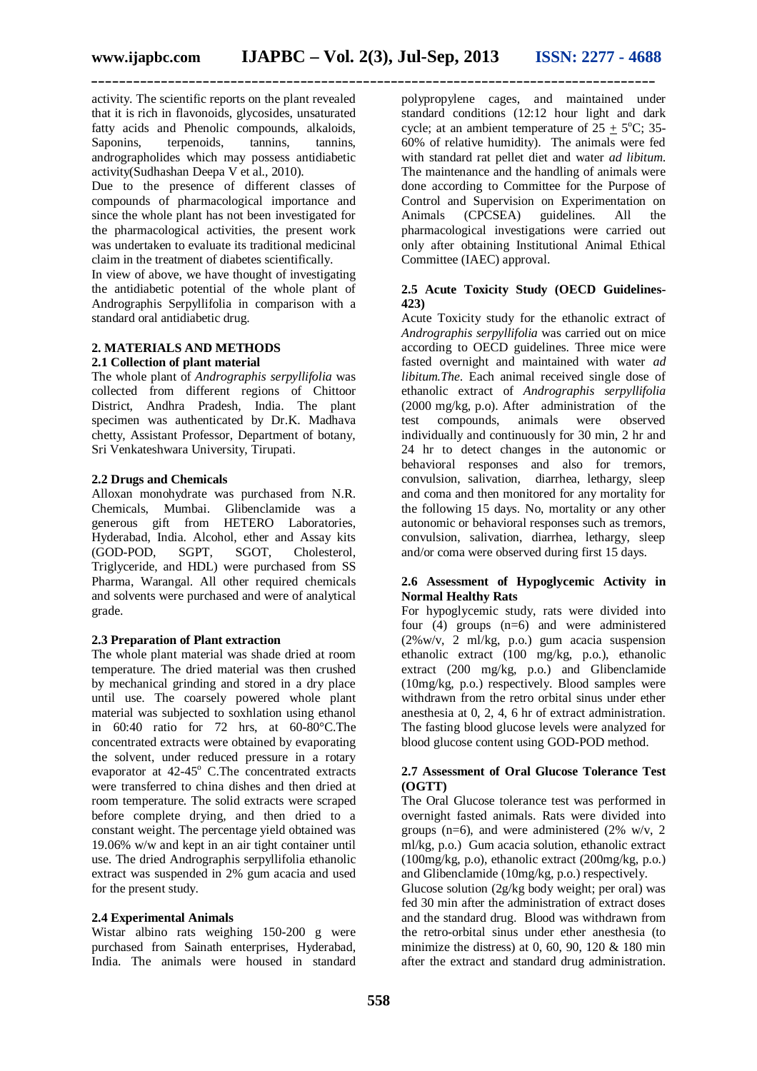activity. The scientific reports on the plant revealed that it is rich in flavonoids, glycosides, unsaturated fatty acids and Phenolic compounds, alkaloids, Saponins, terpenoids, tannins, tannins, andrographolides which may possess antidiabetic activity(Sudhashan Deepa V et al., 2010).

Due to the presence of different classes of compounds of pharmacological importance and since the whole plant has not been investigated for the pharmacological activities, the present work was undertaken to evaluate its traditional medicinal claim in the treatment of diabetes scientifically.

In view of above, we have thought of investigating the antidiabetic potential of the whole plant of Andrographis Serpyllifolia in comparison with a standard oral antidiabetic drug.

# **2. MATERIALS AND METHODS**

# **2.1 Collection of plant material**

The whole plant of *Andrographis serpyllifolia* was collected from different regions of Chittoor District, Andhra Pradesh, India. The plant specimen was authenticated by Dr.K. Madhava chetty, Assistant Professor, Department of botany, Sri Venkateshwara University, Tirupati.

# **2.2 Drugs and Chemicals**

Alloxan monohydrate was purchased from N.R. Chemicals, Mumbai. Glibenclamide was a generous gift from HETERO Laboratories, Hyderabad, India. Alcohol, ether and Assay kits (GOD-POD. SGPT. SGOT. Cholesterol. (GOD-POD, SGPT, Triglyceride, and HDL) were purchased from SS Pharma, Warangal. All other required chemicals and solvents were purchased and were of analytical grade.

# **2.3 Preparation of Plant extraction**

The whole plant material was shade dried at room temperature. The dried material was then crushed by mechanical grinding and stored in a dry place until use. The coarsely powered whole plant material was subjected to soxhlation using ethanol in 60:40 ratio for 72 hrs, at 60-80°C.The concentrated extracts were obtained by evaporating the solvent, under reduced pressure in a rotary evaporator at  $42-45^{\circ}$  C.The concentrated extracts were transferred to china dishes and then dried at room temperature. The solid extracts were scraped before complete drying, and then dried to a constant weight. The percentage yield obtained was 19.06% w/w and kept in an air tight container until use. The dried Andrographis serpyllifolia ethanolic extract was suspended in 2% gum acacia and used for the present study.

#### **2.4 Experimental Animals**

Wistar albino rats weighing 150-200 g were purchased from Sainath enterprises, Hyderabad, India. The animals were housed in standard polypropylene cages, and maintained under standard conditions (12:12 hour light and dark cycle; at an ambient temperature of  $25 \pm 5^{\circ}$ C; 35-60% of relative humidity). The animals were fed with standard rat pellet diet and water *ad libitum*. The maintenance and the handling of animals were done according to Committee for the Purpose of Control and Supervision on Experimentation on<br>Animals (CPCSEA) guidelines. All the Animals (CPCSEA) guidelines. All the pharmacological investigations were carried out only after obtaining Institutional Animal Ethical Committee (IAEC) approval.

# **2.5 Acute Toxicity Study (OECD Guidelines-423)**

Acute Toxicity study for the ethanolic extract of *Andrographis serpyllifolia* was carried out on mice according to OECD guidelines. Three mice were fasted overnight and maintained with water *ad libitum.The*. Each animal received single dose of ethanolic extract of *Andrographis serpyllifolia* (2000 mg/kg, p.o). After administration of the test compounds, animals were observed individually and continuously for 30 min, 2 hr and 24 hr to detect changes in the autonomic or behavioral responses and also for tremors, convulsion, salivation, diarrhea, lethargy, sleep and coma and then monitored for any mortality for the following 15 days. No, mortality or any other autonomic or behavioral responses such as tremors, convulsion, salivation, diarrhea, lethargy, sleep and/or coma were observed during first 15 days.

# **2.6 Assessment of Hypoglycemic Activity in Normal Healthy Rats**

For hypoglycemic study, rats were divided into four  $(4)$  groups  $(n=6)$  and were administered (2%w/v, 2 ml/kg, p.o.) gum acacia suspension ethanolic extract (100 mg/kg, p.o.), ethanolic extract (200 mg/kg, p.o.) and Glibenclamide (10mg/kg, p.o.) respectively. Blood samples were withdrawn from the retro orbital sinus under ether anesthesia at 0, 2, 4, 6 hr of extract administration. The fasting blood glucose levels were analyzed for blood glucose content using GOD-POD method.

# **2.7 Assessment of Oral Glucose Tolerance Test (OGTT)**

The Oral Glucose tolerance test was performed in overnight fasted animals. Rats were divided into groups (n=6), and were administered (2% w/v, 2) ml/kg, p.o.) Gum acacia solution, ethanolic extract (100mg/kg, p.o), ethanolic extract (200mg/kg, p.o.) and Glibenclamide (10mg/kg, p.o.) respectively.

Glucose solution (2g/kg body weight; per oral) was fed 30 min after the administration of extract doses and the standard drug. Blood was withdrawn from the retro-orbital sinus under ether anesthesia (to minimize the distress) at  $0, 60, 90, 120 \& 180 \text{ min}$ after the extract and standard drug administration.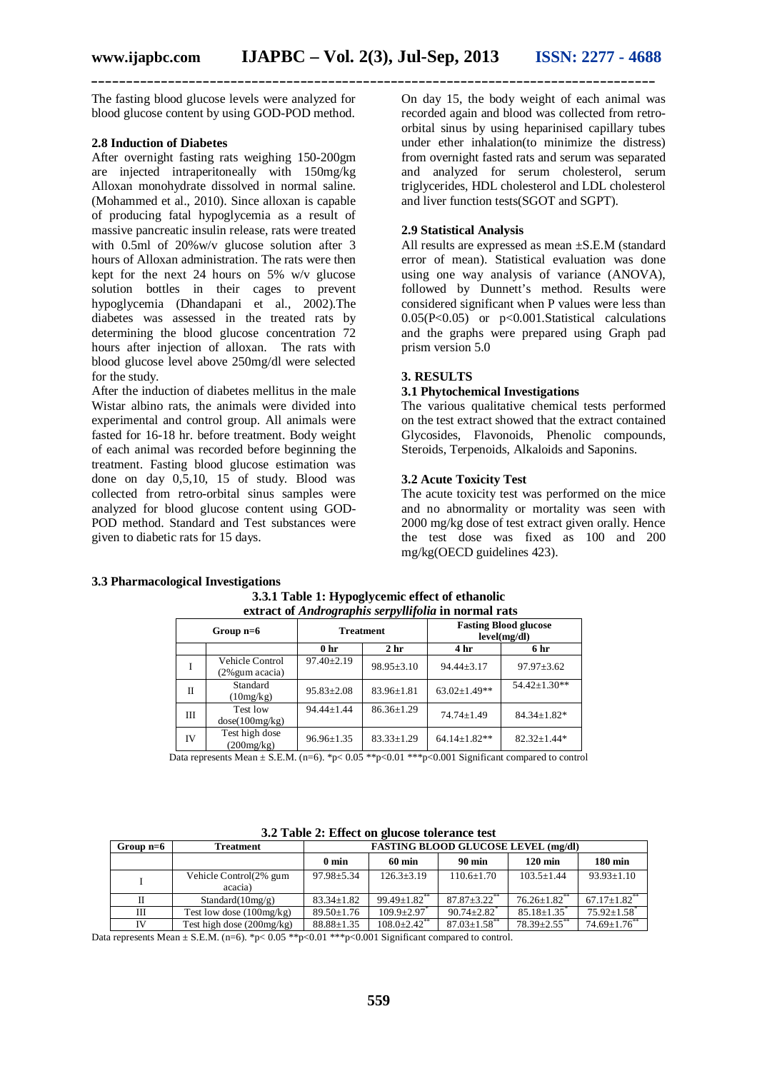**\_\_\_\_\_\_\_\_\_\_\_\_\_\_\_\_\_\_\_\_\_\_\_\_\_\_\_\_\_\_\_\_\_\_\_\_\_\_\_\_\_\_\_\_\_\_\_\_\_\_\_\_\_\_\_\_\_\_\_\_\_\_\_\_\_\_\_\_\_\_\_\_\_\_\_\_\_\_\_\_\_**

The fasting blood glucose levels were analyzed for blood glucose content by using GOD-POD method.

#### **2.8 Induction of Diabetes**

After overnight fasting rats weighing 150-200gm are injected intraperitoneally with 150mg/kg Alloxan monohydrate dissolved in normal saline. (Mohammed et al., 2010). Since alloxan is capable of producing fatal hypoglycemia as a result of massive pancreatic insulin release, rats were treated with 0.5ml of 20%w/v glucose solution after 3 hours of Alloxan administration. The rats were then kept for the next 24 hours on 5% w/v glucose solution bottles in their cages to prevent hypoglycemia (Dhandapani et al., 2002).The diabetes was assessed in the treated rats by determining the blood glucose concentration 72 hours after injection of alloxan. The rats with blood glucose level above 250mg/dl were selected for the study.

After the induction of diabetes mellitus in the male Wistar albino rats, the animals were divided into experimental and control group. All animals were fasted for 16-18 hr. before treatment. Body weight of each animal was recorded before beginning the treatment. Fasting blood glucose estimation was done on day 0,5,10, 15 of study. Blood was collected from retro-orbital sinus samples were analyzed for blood glucose content using GOD-POD method. Standard and Test substances were given to diabetic rats for 15 days.

On day 15, the body weight of each animal was recorded again and blood was collected from retroorbital sinus by using heparinised capillary tubes under ether inhalation(to minimize the distress) from overnight fasted rats and serum was separated and analyzed for serum cholesterol, serum triglycerides, HDL cholesterol and LDL cholesterol and liver function tests(SGOT and SGPT).

# **2.9 Statistical Analysis**

All results are expressed as mean ±S.E.M (standard error of mean). Statistical evaluation was done using one way analysis of variance (ANOVA), followed by Dunnett's method. Results were considered significant when P values were less than 0.05(P<0.05) or p<0.001.Statistical calculations and the graphs were prepared using Graph pad prism version 5.0

#### **3. RESULTS**

#### **3.1 Phytochemical Investigations**

The various qualitative chemical tests performed on the test extract showed that the extract contained Glycosides, Flavonoids, Phenolic compounds, Steroids, Terpenoids, Alkaloids and Saponins.

# **3.2 Acute Toxicity Test**

The acute toxicity test was performed on the mice and no abnormality or mortality was seen with 2000 mg/kg dose of test extract given orally. Hence the test dose was fixed as 100 and 200 mg/kg(OECD guidelines 423).

#### **3.3 Pharmacological Investigations**

| extract of Andrographis serpyllifolia in normal rats |                                    |                  |                  |                                              |                    |
|------------------------------------------------------|------------------------------------|------------------|------------------|----------------------------------------------|--------------------|
| Group $n=6$                                          |                                    | <b>Treatment</b> |                  | <b>Fasting Blood glucose</b><br>level(mg/dl) |                    |
|                                                      |                                    | 0 <sub>hr</sub>  | 2 <sub>hr</sub>  | 4 hr                                         | 6 hr               |
| I                                                    | Vehicle Control<br>(2% gum acacia) | $97.40 \pm 2.19$ | $98.95 \pm 3.10$ | $94.44 \pm 3.17$                             | $97.97 \pm 3.62$   |
| П                                                    | Standard<br>(10mg/kg)              | $95.83 \pm 2.08$ | $83.96 \pm 1.81$ | $63.02 \pm 1.49**$                           | 54.42±1.30**       |
| Ш                                                    | Test low<br>dose(100mg/kg)         | $94.44 \pm 1.44$ | $86.36 \pm 1.29$ | $74.74 \pm 1.49$                             | $84.34 \pm 1.82$ * |
| IV                                                   | Test high dose<br>(200mg/kg)       | $96.96 \pm 1.35$ | $83.33 \pm 1.29$ | $64.14 \pm 1.82**$                           | $82.32 \pm 1.44*$  |

**3.3.1 Table 1: Hypoglycemic effect of ethanolic**

Data represents Mean  $\pm$  S.E.M. (n=6). \*p< 0.05 \*\*p<0.01 \*\*\*p<0.001 Significant compared to control

| Group $n=6$ | <b>Treatment</b>                  | <b>FASTING BLOOD GLUCOSE LEVEL (mg/dl)</b> |                            |                                |                                |                                |
|-------------|-----------------------------------|--------------------------------------------|----------------------------|--------------------------------|--------------------------------|--------------------------------|
|             |                                   | 0 min                                      | $60 \text{ min}$           | $90 \text{ min}$               | $120 \text{ min}$              | <b>180 min</b>                 |
|             | Vehicle Control(2% gum<br>acacia) | $97.98 \pm 5.34$                           | $126.3 \pm 3.19$           | $110.6 \pm 1.70$               | $103.5 \pm 1.44$               | $93.93 \pm 1.10$               |
| П           | Standard $(10mg/g)$               | $83.34 \pm 1.82$                           | $99.49 \pm 1.82$ **        | $87.87 \pm 3.22$ **            | $76.26 \pm 1.82$ <sup>**</sup> | $67.17 \pm 1.82$ <sup>**</sup> |
| Ш           | Test low dose $(100mg/kg)$        | $89.50 \pm 1.76$                           | $109.9 \pm 2.97$           | $90.74 \pm 2.82$ <sup>*</sup>  | $85.18 \pm 1.35$ <sup>*</sup>  | $75.92 \pm 1.58$ <sup>*</sup>  |
| IV          | Test high dose $(200mg/kg)$       | $88.88 \pm 1.35$                           | $108.0+2.42$ <sup>**</sup> | $87.03 \pm 1.58$ <sup>**</sup> | $78.39 + 2.55$ **              | $74.69 \pm 1.76$ **            |

**3.2 Table 2: Effect on glucose tolerance test**

Data represents Mean  $\pm$  S.E.M. (n=6). \*p< 0.05 \*\*p<0.01 \*\*\*p<0.001 Significant compared to control.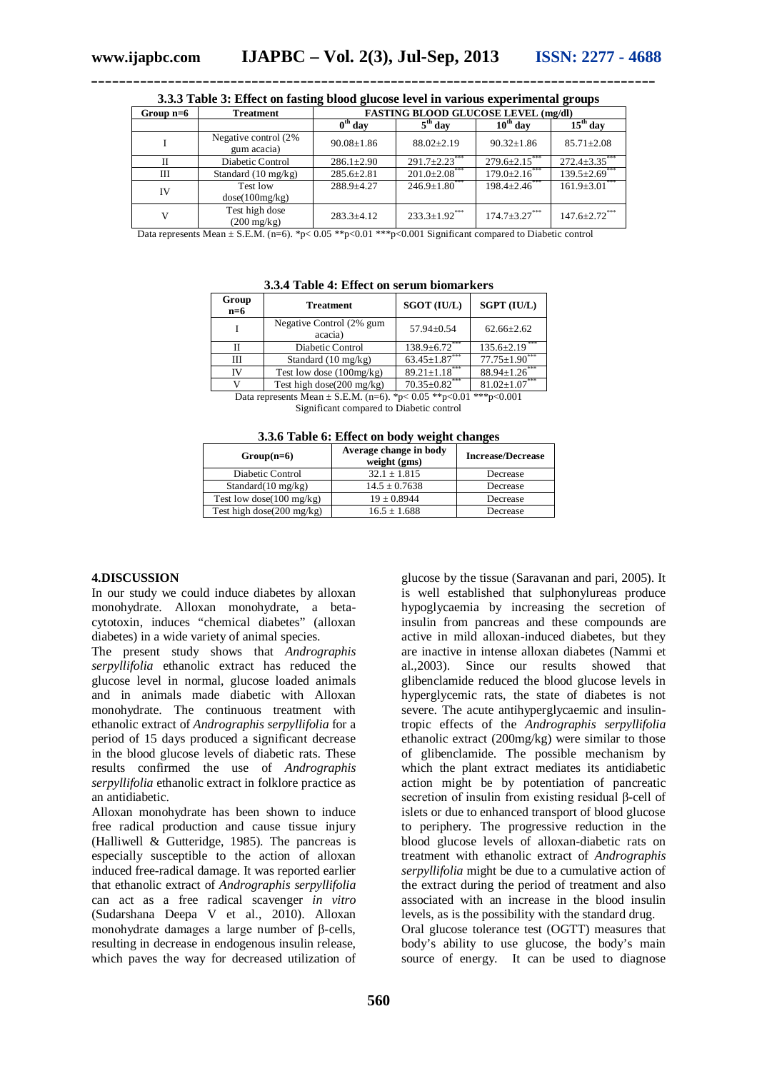| Group $n=6$ | <b>Treatment</b>                        | <b>FASTING BLOOD GLUCOSE LEVEL (mg/dl)</b> |                      |                      |                      |  |
|-------------|-----------------------------------------|--------------------------------------------|----------------------|----------------------|----------------------|--|
|             |                                         | $0th$ day                                  | $5th$ day            | $10th$ day           | $15th$ day           |  |
|             | Negative control (2%<br>gum acacia)     | $90.08 \pm 1.86$                           | $88.02 \pm 2.19$     | $90.32 \pm 1.86$     | $85.71 \pm 2.08$     |  |
| П           | Diabetic Control                        | $286.1 \pm 2.90$                           | $291.7 \pm 2.23$ *** | $279.6 \pm 2.15$     | $272.4 \pm 3.35$ *** |  |
| Ш           | Standard $(10 \text{ mg/kg})$           | $285.6 \pm 2.81$                           | $201.0 \pm 2.08$ *** | $179.0 \pm 2.16$ *** | $139.5 \pm 2.69$     |  |
| IV          | Test low<br>dose(100mg/kg)              | $288.9 + 4.27$                             | $246.9 \pm 1.80$ *** | $198.4 \pm 2.46$ *** | $161.9 \pm 3.01$ *** |  |
|             | Test high dose<br>$(200 \text{ mg/kg})$ | $283.3+4.12$                               | $233.3 \pm 1.92$ *** | $174.7 \pm 3.27***$  | $147.6 \pm 2.72$ *** |  |

**3.3.3 Table 3: Effect on fasting blood glucose level in various experimental groups**

Data represents Mean  $\pm$  S.E.M. (n=6). \*p< 0.05 \*\*p<0.01 \*\*\*p<0.001 Significant compared to Diabetic control

| 3.3.4 Table 4: Effect on serum biomarkers |  |  |  |
|-------------------------------------------|--|--|--|
|-------------------------------------------|--|--|--|

| Group<br>$n=6$ | <b>Treatment</b>                      | <b>SGOT (IU/L)</b>   | <b>SGPT (IU/L)</b>   |
|----------------|---------------------------------------|----------------------|----------------------|
|                | Negative Control (2% gum<br>acacia)   | 57.94±0.54           | $62.66 \pm 2.62$     |
|                | Diabetic Control                      | $138.9 \pm 6.72$     | $135.6 \pm 2.19$     |
| Ш              | Standard $(10 \text{ mg/kg})$         | $63.45 \pm 1.87$ *** | $77.75 \pm 1.90$ *** |
| IV             | Test low dose $(100mg/kg)$            | $89.21 \pm 1.18$     | $88.94 \pm 1.26$ *** |
|                | Test high dose( $200 \text{ mg/kg}$ ) | $70.35 \pm 0.82$ *** | $81.02 \pm 1.07***$  |

Data represents Mean  $\pm$  S.E.M. (n=6). \*p< 0.05 \*\*p<0.01 \*\*\*p<0.001

Significant compared to Diabetic control

| 3.3.6 Table 6: Effect on body weight changes |  |  |  |
|----------------------------------------------|--|--|--|
|----------------------------------------------|--|--|--|

| $Group(n=6)$                         | Average change in body<br>weight (gms) | <b>Increase/Decrease</b> |  |
|--------------------------------------|----------------------------------------|--------------------------|--|
| Diabetic Control                     | $32.1 \pm 1.815$                       | Decrease                 |  |
| Standard $(10 \text{ mg/kg})$        | $14.5 \pm 0.7638$                      | Decrease                 |  |
| Test low dose( $100 \text{ mg/kg}$ ) | $19 \pm 0.8944$                        | Decrease                 |  |
| Test high dose(200 mg/kg)            | $16.5 \pm 1.688$                       | Decrease                 |  |

#### **4.DISCUSSION**

In our study we could induce diabetes by alloxan monohydrate. Alloxan monohydrate, a betacytotoxin, induces "chemical diabetes" (alloxan diabetes) in a wide variety of animal species.

The present study shows that *Andrographis serpyllifolia* ethanolic extract has reduced the glucose level in normal, glucose loaded animals and in animals made diabetic with Alloxan monohydrate. The continuous treatment with ethanolic extract of *Andrographis serpyllifolia* for a period of 15 days produced a significant decrease in the blood glucose levels of diabetic rats. These results confirmed the use of *Andrographis serpyllifolia* ethanolic extract in folklore practice as an antidiabetic.

Alloxan monohydrate has been shown to induce free radical production and cause tissue injury (Halliwell & Gutteridge, 1985). The pancreas is especially susceptible to the action of alloxan induced free-radical damage. It was reported earlier that ethanolic extract of *Andrographis serpyllifolia*  can act as a free radical scavenger *in vitro* (Sudarshana Deepa V et al., 2010). Alloxan monohydrate damages a large number of β-cells, resulting in decrease in endogenous insulin release, which paves the way for decreased utilization of glucose by the tissue (Saravanan and pari, 2005). It is well established that sulphonylureas produce hypoglycaemia by increasing the secretion of insulin from pancreas and these compounds are active in mild alloxan-induced diabetes, but they are inactive in intense alloxan diabetes (Nammi et al.,2003). Since our results showed that glibenclamide reduced the blood glucose levels in hyperglycemic rats, the state of diabetes is not severe. The acute antihyperglycaemic and insulintropic effects of the *Andrographis serpyllifolia* ethanolic extract (200mg/kg) were similar to those of glibenclamide. The possible mechanism by which the plant extract mediates its antidiabetic action might be by potentiation of pancreatic secretion of insulin from existing residual β-cell of islets or due to enhanced transport of blood glucose to periphery. The progressive reduction in the blood glucose levels of alloxan-diabetic rats on treatment with ethanolic extract of *Andrographis serpyllifolia* might be due to a cumulative action of the extract during the period of treatment and also associated with an increase in the blood insulin levels, as is the possibility with the standard drug. Oral glucose tolerance test (OGTT) measures that body's ability to use glucose, the body's main source of energy. It can be used to diagnose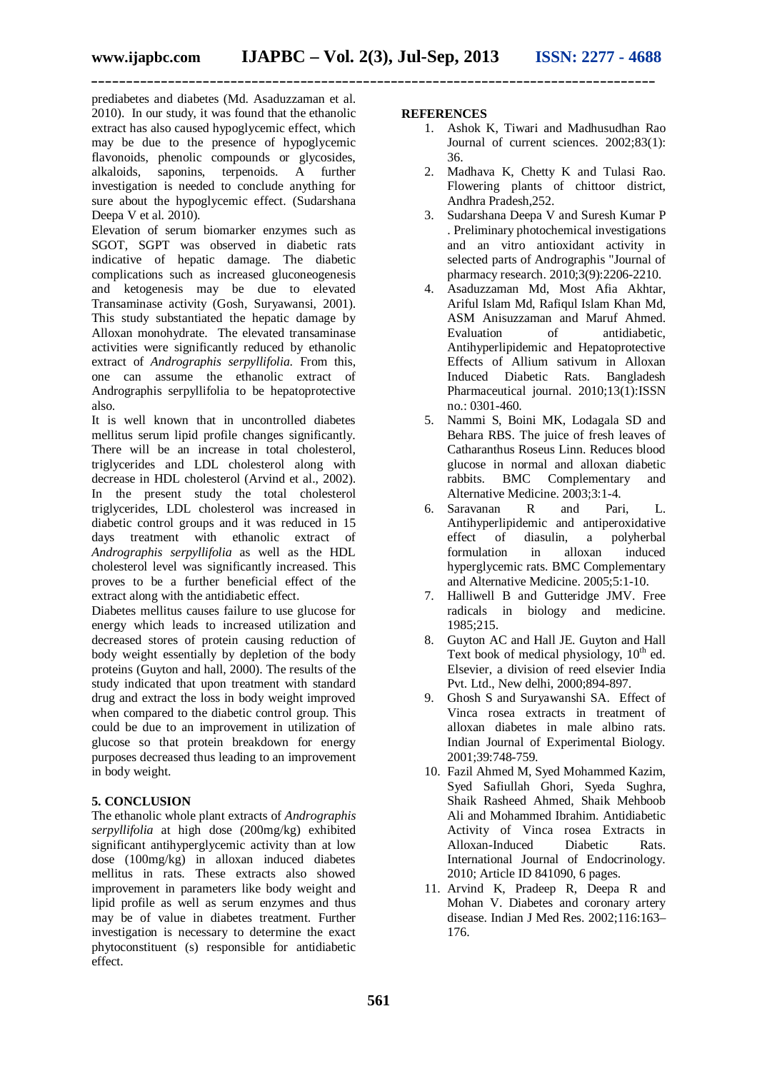prediabetes and diabetes (Md. Asaduzzaman et al. 2010). In our study, it was found that the ethanolic extract has also caused hypoglycemic effect, which may be due to the presence of hypoglycemic flavonoids, phenolic compounds or glycosides, alkaloids, saponins, terpenoids. A further investigation is needed to conclude anything for sure about the hypoglycemic effect. (Sudarshana Deepa V et al. 2010).

Elevation of serum biomarker enzymes such as SGOT, SGPT was observed in diabetic rats indicative of hepatic damage. The diabetic complications such as increased gluconeogenesis and ketogenesis may be due to elevated Transaminase activity (Gosh, Suryawansi, 2001). This study substantiated the hepatic damage by Alloxan monohydrate. The elevated transaminase activities were significantly reduced by ethanolic extract of *Andrographis serpyllifolia*. From this, one can assume the ethanolic extract of Andrographis serpyllifolia to be hepatoprotective also.

It is well known that in uncontrolled diabetes mellitus serum lipid profile changes significantly. There will be an increase in total cholesterol, triglycerides and LDL cholesterol along with decrease in HDL cholesterol (Arvind et al., 2002). In the present study the total cholesterol triglycerides, LDL cholesterol was increased in diabetic control groups and it was reduced in 15 days treatment with ethanolic extract of *Andrographis serpyllifolia* as well as the HDL cholesterol level was significantly increased. This proves to be a further beneficial effect of the extract along with the antidiabetic effect.

Diabetes mellitus causes failure to use glucose for energy which leads to increased utilization and decreased stores of protein causing reduction of body weight essentially by depletion of the body proteins (Guyton and hall, 2000). The results of the study indicated that upon treatment with standard drug and extract the loss in body weight improved when compared to the diabetic control group. This could be due to an improvement in utilization of glucose so that protein breakdown for energy purposes decreased thus leading to an improvement in body weight.

# **5. CONCLUSION**

The ethanolic whole plant extracts of *Andrographis serpyllifolia* at high dose (200mg/kg) exhibited significant antihyperglycemic activity than at low dose (100mg/kg) in alloxan induced diabetes mellitus in rats. These extracts also showed improvement in parameters like body weight and lipid profile as well as serum enzymes and thus may be of value in diabetes treatment. Further investigation is necessary to determine the exact phytoconstituent (s) responsible for antidiabetic effect.

#### **REFERENCES**

- 1. Ashok K, Tiwari and Madhusudhan Rao Journal of current sciences. 2002;83(1): 36.
- 2. Madhava K, Chetty K and Tulasi Rao. Flowering plants of chittoor district, Andhra Pradesh,252.
- 3. Sudarshana Deepa V and Suresh Kumar P . Preliminary photochemical investigations and an vitro antioxidant activity in selected parts of Andrographis "Journal of pharmacy research. 2010;3(9):2206-2210.
- 4. Asaduzzaman Md, Most Afia Akhtar, Ariful Islam Md, Rafiqul Islam Khan Md, ASM Anisuzzaman and Maruf Ahmed. Evaluation of antidiabetic, Antihyperlipidemic and Hepatoprotective Effects of Allium sativum in Alloxan Induced Diabetic Rats. Bangladesh Pharmaceutical journal. 2010;13(1):ISSN no.: 0301-460.
- 5. Nammi S, Boini MK, Lodagala SD and Behara RBS. The juice of fresh leaves of Catharanthus Roseus Linn. Reduces blood glucose in normal and alloxan diabetic rabbits. BMC Complementary and Alternative Medicine. 2003;3:1-4.
- 6. Saravanan R and Pari, L. Antihyperlipidemic and antiperoxidative effect of diasulin, a polyherbal formulation in alloxan hyperglycemic rats. BMC Complementary and Alternative Medicine. 2005;5:1-10.
- 7. Halliwell B and Gutteridge JMV. Free radicals in biology and medicine. 1985;215.
- 8. Guyton AC and Hall JE. Guyton and Hall Text book of medical physiology,  $10^{th}$  ed. Elsevier, a division of reed elsevier India Pvt. Ltd., New delhi, 2000;894-897.
- 9. Ghosh S and Suryawanshi SA. Effect of Vinca rosea extracts in treatment of alloxan diabetes in male albino rats. Indian Journal of Experimental Biology. 2001;39:748-759.
- 10. Fazil Ahmed M, Syed Mohammed Kazim, Syed Safiullah Ghori, Syeda Sughra, Shaik Rasheed Ahmed, Shaik Mehboob Ali and Mohammed Ibrahim. Antidiabetic Activity of Vinca rosea Extracts in<br>Alloxan-Induced Diabetic Rats. Alloxan-Induced Diabetic Rats. International Journal of Endocrinology. 2010; Article ID 841090, 6 pages.
- 11. Arvind K, Pradeep R, Deepa R and Mohan V. Diabetes and coronary artery disease. Indian J Med Res. 2002;116:163– 176.